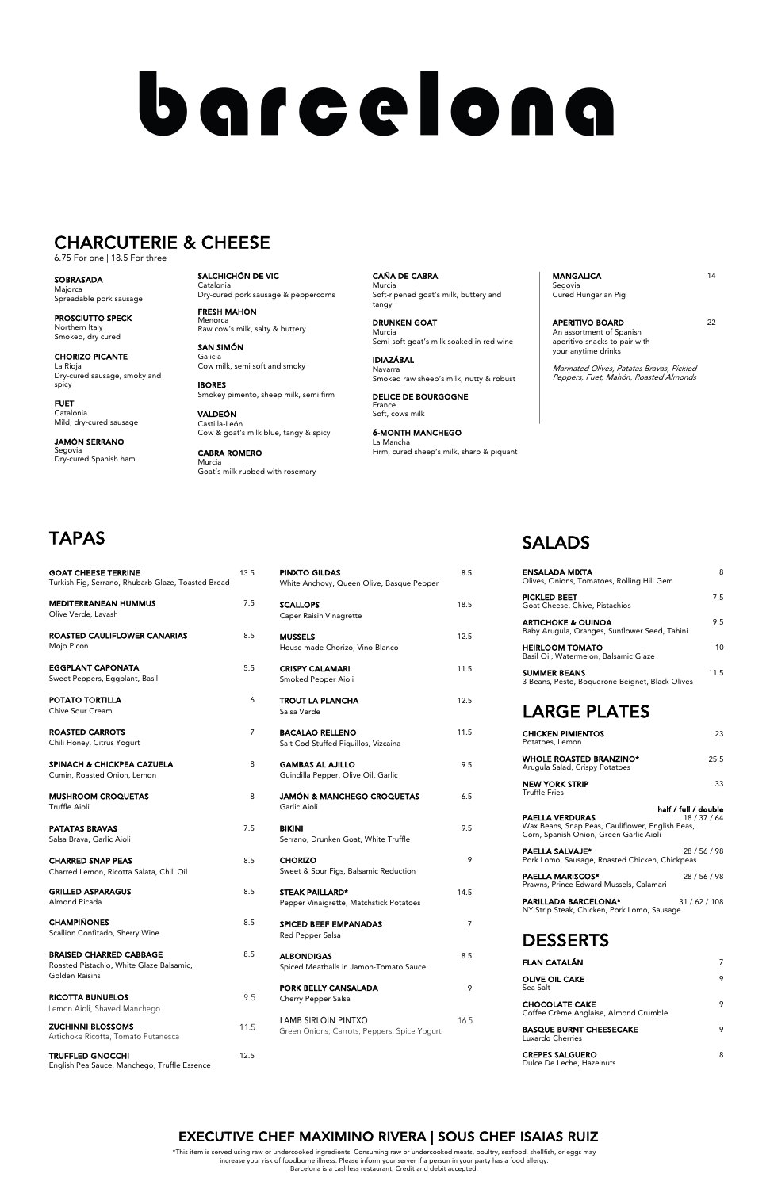| <b>PINXTO GILDAS</b><br>White Anchovy, Queen Olive, Basque Pepper | 8.5  |
|-------------------------------------------------------------------|------|
| <b>SCALLOPS</b><br>Caper Raisin Vinagrette                        | 18.5 |
| <b>MUSSELS</b><br>House made Chorizo, Vino Blanco                 | 12.5 |
| <b>CRISPY CALAMARI</b><br>Smoked Pepper Aioli                     | 11.5 |
| <b>TROUT LA PLANCHA</b><br>Salsa Verde                            | 12.5 |
| <b>BACALAO RELLENO</b><br>Salt Cod Stuffed Piquillos, Vizcaina    | 11.5 |
| <b>GAMBAS AL AJILLO</b><br>Guindilla Pepper, Olive Oil, Garlic    | 9.5  |
| <b>JAMÓN &amp; MANCHEGO CROQUETAS</b><br>Garlic Aioli             | 6.5  |
| <b>BIKINI</b><br>Serrano, Drunken Goat, White Truffle             | 9.5  |
| <b>CHORIZO</b><br>Sweet & Sour Figs, Balsamic Reduction           | 9    |

## **SALADS**

- STEAK PAILLARD\* 14.5 Pepper Vinaigrette, Matchstick Potatoes
- SPICED BEEF EMPANADAS 7 Red Pepper Salsa

ALBONDIGAS 8.5 Spiced Meatballs in Jamon-Tomato Sauce

PORK BELLY CANSALADA 9 Cherry Pepper Salsa

LAMB SIRLOIN PINTXO 16.5 Green Onions, Carrots, Peppers, Spice Yogurt

9.5

11.5

GRILLED ASPARAGUS 8.5 Almond Picada

CHAMPIÑONES 8.5 Scallion Confitado, Sherry Wine

BRAISED CHARRED CABBAGE 8.5 Roasted Pistachio, White Glaze Balsamic, Golden Raisins

RICOTTA BUNUELOS Lemon Aioli, Shaved Manchego

ZUCHINNI BLOSSOMS Artichoke Ricotta, Tomato Putanesca

TRUFFLED GNOCCHI 12.5 English Pea Sauce, Manchego, Truffle Essence

| <b>GOAT CHEESE TERRINE</b><br>Turkish Fig, Serrano, Rhubarb Glaze, Toasted Bread | 13.5 |
|----------------------------------------------------------------------------------|------|
| <b>MEDITERRANEAN HUMMUS</b><br>Olive Verde, Lavash                               | 7.5  |
| <b>ROASTED CAULIFLOWER CANARIAS</b><br>Mojo Picon                                | 8.5  |
| <b>EGGPLANT CAPONATA</b><br>Sweet Peppers, Eggplant, Basil                       | 5.5  |
| POTATO TORTILLA<br>Chive Sour Cream                                              | 6    |
| <b>ROASTED CARROTS</b><br>Chili Honey, Citrus Yogurt                             | 7    |
| <b>SPINACH &amp; CHICKPEA CAZUELA</b><br>Cumin, Roasted Onion, Lemon             | 8    |
| <b>MUSHROOM CROQUETAS</b><br>Truffle Aioli                                       | 8    |
| <b>PATATAS BRAVAS</b><br>Salsa Brava, Garlic Aioli                               | 7.5  |
| <b>CHARRED SNAP PEAS</b><br>Charred Lemon, Ricotta Salata, Chili Oil             | 8.5  |

PARILLADA BARCELONA\* 31/62/108 NY Strip Steak, Chicken, Pork Lomo, Sausage

MANGALICA 14 Segovia Cured Hungarian Pig

APERITIVO BOARD 22 An assortment of Spanish aperitivo snacks to pair with your anytime drinks

**SOBRASADA** Majorca Spreadable pork sausage

| ENSALADA MIXTA<br>Olives, Onions, Tomatoes, Rolling Hill Gem                                                          | 8                                |
|-----------------------------------------------------------------------------------------------------------------------|----------------------------------|
| <b>PICKLED BEET</b><br>Goat Cheese, Chive, Pistachios                                                                 | 7.5                              |
| <b>ARTICHOKE &amp; QUINOA</b><br>Baby Arugula, Oranges, Sunflower Seed, Tahini                                        | 9.5                              |
| <b>HEIRLOOM TOMATO</b><br>Basil Oil, Watermelon, Balsamic Glaze                                                       | 10 <sup>1</sup>                  |
| <b>SUMMER BEANS</b><br>3 Beans, Pesto, Boquerone Beignet, Black Olives                                                | 11.5                             |
| <b>LARGE PLATES</b>                                                                                                   |                                  |
| <b>CHICKEN PIMIENTOS</b><br>Potatoes, Lemon                                                                           | 23                               |
| <b>WHOLE ROASTED BRANZINO*</b><br>Arugula Salad, Crispy Potatoes                                                      | 25.5                             |
| <b>NEW YORK STRIP</b><br><b>Truffle Fries</b>                                                                         | 33                               |
| <b>PAELLA VERDURAS</b><br>Wax Beans, Snap Peas, Cauliflower, English Peas,<br>Corn, Spanish Onion, Green Garlic Aioli | half / full / double<br>18/37/64 |
| <b>PAELLA SALVAJE*</b><br>Pork Lomo, Sausage, Roasted Chicken, Chickpeas                                              | 28/56/98                         |
| <b>DAFLLA MADICCOC+</b>                                                                                               | 20/21/20                         |

PAELLA MARISCOS\* 28 / 56 / 98 Prawns, Prince Edward Mussels, Calamari

#### DESSERTS

| <b>FLAN CATALÁN</b>                                            | 7 |
|----------------------------------------------------------------|---|
| <b>OLIVE OIL CAKE</b><br>Sea Salt                              | 9 |
| <b>CHOCOLATE CAKE</b><br>Coffee Crème Anglaise, Almond Crumble | 9 |
| <b>BASQUE BURNT CHEESECAKE</b><br>Luxardo Cherries             | 9 |
|                                                                |   |

CREPES SALGUERO 8 Dulce De Leche, Hazelnuts

SALCHICHÓN DE VIC Catalonia Dry-cured pork sausage & peppercorns

FRESH MAHÓN Menorca Raw cow's milk, salty & buttery

SAN SIMÓN Galicia Cow milk, semi soft and smoky

IBORES Smokey pimento, sheep milk, semi firm

VALDEÓN Castilla-León Cow & goat's milk blue, tangy & spicy

CABRA ROMERO Murcia Goat's milk rubbed with rosemary CAÑA DE CABRA Murcia Soft-ripened goat's milk, buttery and tangy

DRUNKEN GOAT Murcia Semi-soft goat's milk soaked in red wine

IDIAZÁBAL Navarra Smoked raw sheep's milk, nutty & robust

DELICE DE BOURGOGNE France Soft, cows milk

6-MONTH MANCHEGO La Mancha Firm, cured sheep's milk, sharp & piquant Marinated Olives, Patatas Bravas, Pickled Peppers, Fuet, Mahón, Roasted Almonds

PROSCIUTTO SPECK Northern Italy Smoked, dry cured

CHORIZO PICANTE La Rioja Dry-cured sausage, smoky and spicy

FUET Catalonia Mild, dry-cured sausage

JAMÓN SERRANO Segovia Dry-cured Spanish ham

# barcelona

## CHARCUTERIE & CHEESE

6.75 For one | 18.5 For three

\*This item is served using raw or undercooked ingredients. Consuming raw or undercooked meats, poultry, seafood, shellfish, or eggs may increase your risk of foodborne illness. Please inform your server if a person in your party has a food allergy. Barcelona is a cashless restaurant. Credit and debit accepted.

#### EXECUTIVE CHEF MAXIMINO RIVERA | SOUS CHEF ISAIAS RUIZ

## TAPAS